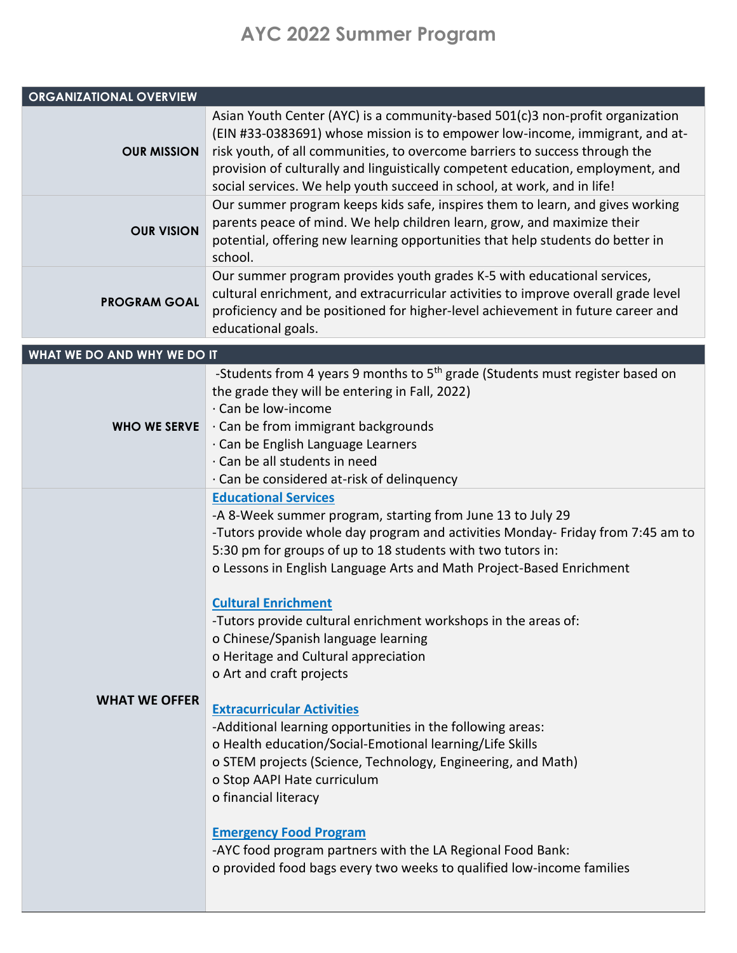## **AYC 2022 Summer Program**

| <b>ORGANIZATIONAL OVERVIEW</b> |                                                                                                                                                                                                                                                                                                                                                                                                                                                                                                                                                                                                                                                                                                                                                                                                                                                                                                                                                                                              |
|--------------------------------|----------------------------------------------------------------------------------------------------------------------------------------------------------------------------------------------------------------------------------------------------------------------------------------------------------------------------------------------------------------------------------------------------------------------------------------------------------------------------------------------------------------------------------------------------------------------------------------------------------------------------------------------------------------------------------------------------------------------------------------------------------------------------------------------------------------------------------------------------------------------------------------------------------------------------------------------------------------------------------------------|
| <b>OUR MISSION</b>             | Asian Youth Center (AYC) is a community-based 501(c)3 non-profit organization<br>(EIN #33-0383691) whose mission is to empower low-income, immigrant, and at-<br>risk youth, of all communities, to overcome barriers to success through the<br>provision of culturally and linguistically competent education, employment, and<br>social services. We help youth succeed in school, at work, and in life!                                                                                                                                                                                                                                                                                                                                                                                                                                                                                                                                                                                   |
| <b>OUR VISION</b>              | Our summer program keeps kids safe, inspires them to learn, and gives working<br>parents peace of mind. We help children learn, grow, and maximize their<br>potential, offering new learning opportunities that help students do better in<br>school.                                                                                                                                                                                                                                                                                                                                                                                                                                                                                                                                                                                                                                                                                                                                        |
| <b>PROGRAM GOAL</b>            | Our summer program provides youth grades K-5 with educational services,<br>cultural enrichment, and extracurricular activities to improve overall grade level<br>proficiency and be positioned for higher-level achievement in future career and<br>educational goals.                                                                                                                                                                                                                                                                                                                                                                                                                                                                                                                                                                                                                                                                                                                       |
| WHAT WE DO AND WHY WE DO IT    |                                                                                                                                                                                                                                                                                                                                                                                                                                                                                                                                                                                                                                                                                                                                                                                                                                                                                                                                                                                              |
| <b>WHO WE SERVE</b>            | -Students from 4 years 9 months to 5 <sup>th</sup> grade (Students must register based on<br>the grade they will be entering in Fall, 2022)<br>· Can be low-income<br>· Can be from immigrant backgrounds<br>· Can be English Language Learners<br>· Can be all students in need<br>· Can be considered at-risk of delinquency                                                                                                                                                                                                                                                                                                                                                                                                                                                                                                                                                                                                                                                               |
| <b>WHAT WE OFFER</b>           | <b>Educational Services</b><br>-A 8-Week summer program, starting from June 13 to July 29<br>-Tutors provide whole day program and activities Monday- Friday from 7:45 am to<br>5:30 pm for groups of up to 18 students with two tutors in:<br>o Lessons in English Language Arts and Math Project-Based Enrichment<br><b>Cultural Enrichment</b><br>-Tutors provide cultural enrichment workshops in the areas of:<br>o Chinese/Spanish language learning<br>o Heritage and Cultural appreciation<br>o Art and craft projects<br><b>Extracurricular Activities</b><br>-Additional learning opportunities in the following areas:<br>o Health education/Social-Emotional learning/Life Skills<br>o STEM projects (Science, Technology, Engineering, and Math)<br>o Stop AAPI Hate curriculum<br>o financial literacy<br><b>Emergency Food Program</b><br>-AYC food program partners with the LA Regional Food Bank:<br>o provided food bags every two weeks to qualified low-income families |